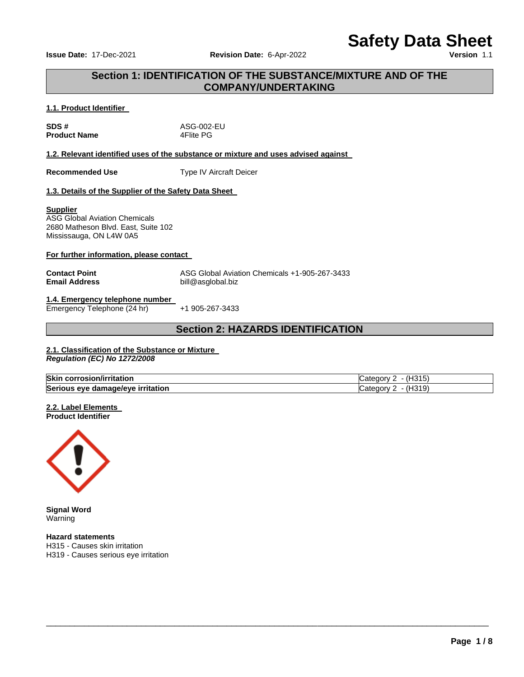**Issue Date: 17-Dec-2021 <b>Revision Date: 6-Apr-2022** 

# **Safety Data Sheet**

# **Section 1: IDENTIFICATION OF THE SUBSTANCE/MIXTURE AND OF THE COMPANY/UNDERTAKING**

#### **1.1. Product Identifier**

| SDS#                |  |
|---------------------|--|
| <b>Product Name</b> |  |

**SDS #** ASG-002-EU **4Flite PG** 

#### **1.2. Relevant identified uses of the substance or mixture and uses advised against**

**Recommended Use Type IV Aircraft Deicer** 

# **1.3. Details of the Supplier of the Safety Data Sheet**

#### **Supplier**

ASG Global Aviation Chemicals 2680 Matheson Blvd. East, Suite 102 Mississauga, ON L4W 0A5

#### **For further information, please contact**

**Contact Point ASG Global Aviation Chemicals +1-905-267-3433**<br> **Email Address Address Alta Buil**@asglobal.biz **Email Address** bill@asglobal.biz

#### **1.4. Emergency telephone number**  Emergency Telephone (24 hr) +1 905-267-3433

# **Section 2: HAZARDS IDENTIFICATION**

# **2.1. Classification of the Substance or Mixture**

*Regulation (EC) No 1272/2008* 

| <b>Skin</b><br>Virritation<br>------<br>cor<br>rosionzi | $\sim$<br>. .<br>' \/ |
|---------------------------------------------------------|-----------------------|
| Seriou.<br>irritation<br>∘ damaqe/eve<br>eve<br>.       | $\sim$ $\sim$<br>11 M |

\_\_\_\_\_\_\_\_\_\_\_\_\_\_\_\_\_\_\_\_\_\_\_\_\_\_\_\_\_\_\_\_\_\_\_\_\_\_\_\_\_\_\_\_\_\_\_\_\_\_\_\_\_\_\_\_\_\_\_\_\_\_\_\_\_\_\_\_\_\_\_\_\_\_\_\_\_\_\_\_\_\_\_\_\_\_\_\_\_\_\_\_\_

#### **2.2. Label Elements Product Identifier**



**Signal Word Warning** 

**Hazard statements** H315 - Causes skin irritation H319 - Causes serious eye irritation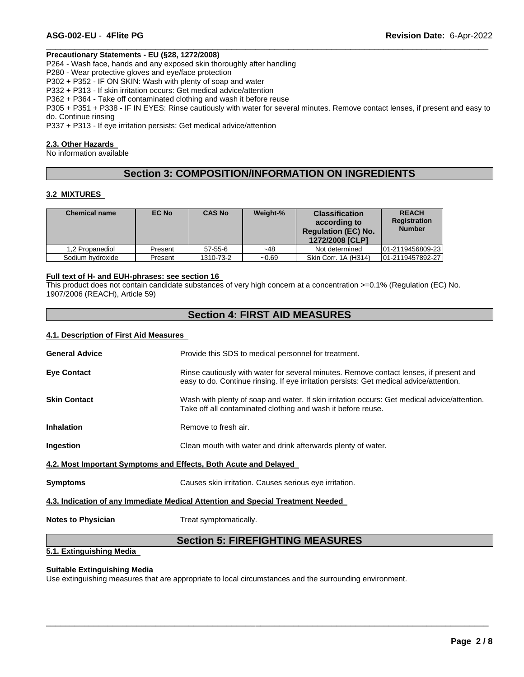#### **Precautionary Statements - EU (§28, 1272/2008)**

P264 - Wash face, hands and any exposed skin thoroughly after handling

P280 - Wear protective gloves and eye/face protection

P302 + P352 - IF ON SKIN: Wash with plenty of soap and water

P332 + P313 - If skin irritation occurs: Get medical advice/attention

P362 + P364 - Take off contaminated clothing and wash it before reuse

P305 + P351 + P338 - IF IN EYES: Rinse cautiously with water for several minutes. Remove contact lenses, if present and easy to do. Continue rinsing

\_\_\_\_\_\_\_\_\_\_\_\_\_\_\_\_\_\_\_\_\_\_\_\_\_\_\_\_\_\_\_\_\_\_\_\_\_\_\_\_\_\_\_\_\_\_\_\_\_\_\_\_\_\_\_\_\_\_\_\_\_\_\_\_\_\_\_\_\_\_\_\_\_\_\_\_\_\_\_\_\_\_\_\_\_\_\_\_\_\_\_\_\_

P337 + P313 - If eye irritation persists: Get medical advice/attention

#### **2.3. Other Hazards**

No information available

# **Section 3: COMPOSITION/INFORMATION ON INGREDIENTS**

#### **3.2 MIXTURES**

| <b>Chemical name</b> | EC No   | <b>CAS No</b> | Weight-% | <b>Classification</b><br>according to<br><b>Requlation (EC) No.</b><br>1272/2008 [CLP] | <b>REACH</b><br><b>Registration</b><br><b>Number</b> |
|----------------------|---------|---------------|----------|----------------------------------------------------------------------------------------|------------------------------------------------------|
| 1.2 Propanediol      | Present | $57 - 55 - 6$ | $-48$    | Not determined                                                                         | 01-2119456809-23                                     |
| Sodium hydroxide     | Present | 1310-73-2     | $-0.69$  | Skin Corr. 1A (H314)                                                                   | 01-2119457892-27                                     |

#### **Full text of H- and EUH-phrases: see section 16**

This product does not contain candidate substances of very high concern at a concentration >=0.1% (Regulation (EC) No. 1907/2006 (REACH), Article 59)

# **Section 4: FIRST AID MEASURES**

#### **4.1. Description of First Aid Measures**

| <b>General Advice</b>                                                           | Provide this SDS to medical personnel for treatment.                                                                                                                              |  |  |
|---------------------------------------------------------------------------------|-----------------------------------------------------------------------------------------------------------------------------------------------------------------------------------|--|--|
| <b>Eye Contact</b>                                                              | Rinse cautiously with water for several minutes. Remove contact lenses, if present and<br>easy to do. Continue rinsing. If eye irritation persists: Get medical advice/attention. |  |  |
| <b>Skin Contact</b>                                                             | Wash with plenty of soap and water. If skin irritation occurs: Get medical advice/attention.<br>Take off all contaminated clothing and wash it before reuse.                      |  |  |
| <b>Inhalation</b>                                                               | Remove to fresh air.                                                                                                                                                              |  |  |
| Ingestion                                                                       | Clean mouth with water and drink afterwards plenty of water.                                                                                                                      |  |  |
| 4.2. Most Important Symptoms and Effects, Both Acute and Delayed                |                                                                                                                                                                                   |  |  |
| <b>Symptoms</b>                                                                 | Causes skin irritation. Causes serious eye irritation.                                                                                                                            |  |  |
| 4.3. Indication of any Immediate Medical Attention and Special Treatment Needed |                                                                                                                                                                                   |  |  |
| <b>Notes to Physician</b>                                                       | Treat symptomatically.                                                                                                                                                            |  |  |

# **Section 5: FIREFIGHTING MEASURES**

\_\_\_\_\_\_\_\_\_\_\_\_\_\_\_\_\_\_\_\_\_\_\_\_\_\_\_\_\_\_\_\_\_\_\_\_\_\_\_\_\_\_\_\_\_\_\_\_\_\_\_\_\_\_\_\_\_\_\_\_\_\_\_\_\_\_\_\_\_\_\_\_\_\_\_\_\_\_\_\_\_\_\_\_\_\_\_\_\_\_\_\_\_

# **5.1. Extinguishing Media**

#### **Suitable Extinguishing Media**

Use extinguishing measures that are appropriate to local circumstances and the surrounding environment.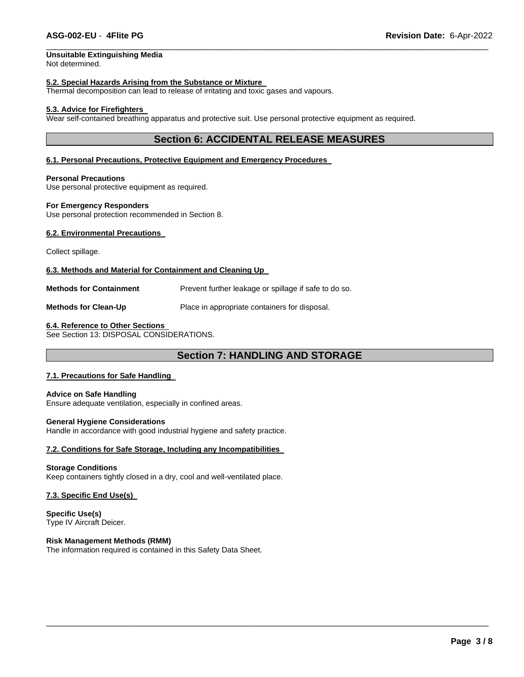# **Unsuitable Extinguishing Media**

Not determined.

#### **5.2. Special Hazards Arising from the Substance or Mixture**

Thermal decomposition can lead to release of irritating and toxic gases and vapours.

#### **5.3. Advice for Firefighters**

Wear self-contained breathing apparatus and protective suit. Use personal protective equipment as required.

# **Section 6: ACCIDENTAL RELEASE MEASURES**

\_\_\_\_\_\_\_\_\_\_\_\_\_\_\_\_\_\_\_\_\_\_\_\_\_\_\_\_\_\_\_\_\_\_\_\_\_\_\_\_\_\_\_\_\_\_\_\_\_\_\_\_\_\_\_\_\_\_\_\_\_\_\_\_\_\_\_\_\_\_\_\_\_\_\_\_\_\_\_\_\_\_\_\_\_\_\_\_\_\_\_\_\_

#### **6.1. Personal Precautions, Protective Equipment and Emergency Procedures**

**Personal Precautions**

Use personal protective equipment as required.

#### **For Emergency Responders**

Use personal protection recommended in Section 8.

#### **6.2. Environmental Precautions**

Collect spillage.

#### **6.3. Methods and Material for Containment and Cleaning Up**

**Methods for Containment Prevent further leakage or spillage if safe to do so.** 

**Methods for Clean-Up** Place in appropriate containers for disposal.

#### **6.4. Reference to Other Sections**

See Section 13: DISPOSAL CONSIDERATIONS.

# **Section 7: HANDLING AND STORAGE**

\_\_\_\_\_\_\_\_\_\_\_\_\_\_\_\_\_\_\_\_\_\_\_\_\_\_\_\_\_\_\_\_\_\_\_\_\_\_\_\_\_\_\_\_\_\_\_\_\_\_\_\_\_\_\_\_\_\_\_\_\_\_\_\_\_\_\_\_\_\_\_\_\_\_\_\_\_\_\_\_\_\_\_\_\_\_\_\_\_\_\_\_\_

#### **7.1. Precautions for Safe Handling**

#### **Advice on Safe Handling**

Ensure adequate ventilation, especially in confined areas.

#### **General Hygiene Considerations**

Handle in accordance with good industrial hygiene and safety practice.

#### **7.2. Conditions for Safe Storage, Including any Incompatibilities**

#### **Storage Conditions**

Keep containers tightly closed in a dry, cool and well-ventilated place.

#### **7.3. Specific End Use(s)**

**Specific Use(s)** Type IV Aircraft Deicer.

#### **Risk Management Methods (RMM)**

The information required is contained in this Safety Data Sheet.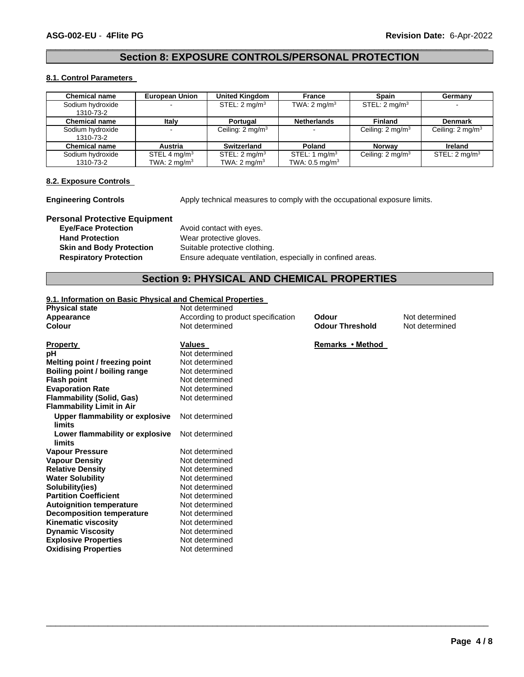# \_\_\_\_\_\_\_\_\_\_\_\_\_\_\_\_\_\_\_\_\_\_\_\_\_\_\_\_\_\_\_\_\_\_\_\_\_\_\_\_\_\_\_\_\_\_\_\_\_\_\_\_\_\_\_\_\_\_\_\_\_\_\_\_\_\_\_\_\_\_\_\_\_\_\_\_\_\_\_\_\_\_\_\_\_\_\_\_\_\_\_\_\_ **Section 8: EXPOSURE CONTROLS/PERSONAL PROTECTION**

#### **8.1. Control Parameters**

| <b>Chemical name</b> | <b>European Union</b>    | <b>United Kingdom</b>       | France                       | Spain                       | Germany                     |
|----------------------|--------------------------|-----------------------------|------------------------------|-----------------------------|-----------------------------|
| Sodium hydroxide     |                          | STEL: $2 \text{ mg/m}^3$    | TWA: $2 \text{ mg/m}^3$      | STEL: $2 \text{ mq/m}^3$    |                             |
| 1310-73-2            |                          |                             |                              |                             |                             |
| <b>Chemical name</b> | Italy                    | Portugal                    | <b>Netherlands</b>           | <b>Finland</b>              | <b>Denmark</b>              |
| Sodium hydroxide     |                          | Ceiling: $2 \text{ mg/m}^3$ |                              | Ceiling: $2 \text{ mg/m}^3$ | Ceiling: $2 \text{ mg/m}^3$ |
| 1310-73-2            |                          |                             |                              |                             |                             |
| <b>Chemical name</b> | <b>Austria</b>           | Switzerland                 | Poland                       | <b>Norway</b>               | <b>Ireland</b>              |
| Sodium hydroxide     | STEL 4 mg/m <sup>3</sup> | STEL: $2 \text{ mg/m}^3$    | STEL: 1 mg/m <sup>3</sup>    | Ceiling: $2 \text{ mg/m}^3$ | STEL: $2 \text{ mg/m}^3$    |
| 1310-73-2            | TWA: $2 \text{ mq/m}^3$  | TWA: $2 \text{ mq/m}^3$     | TWA: $0.5$ mg/m <sup>3</sup> |                             |                             |

#### **8.2. Exposure Controls**

**Engineering Controls** Apply technical measures to comply with the occupational exposure limits.

# **Personal Protective Equipment**

Avoid contact with eyes. **Hand Protection Wear protective gloves. Skin and Body Protection** Suitable protective clothing. **Respiratory Protection** Ensure adequate ventilation, especially in confined areas.

# **Section 9: PHYSICAL AND CHEMICAL PROPERTIES**

\_\_\_\_\_\_\_\_\_\_\_\_\_\_\_\_\_\_\_\_\_\_\_\_\_\_\_\_\_\_\_\_\_\_\_\_\_\_\_\_\_\_\_\_\_\_\_\_\_\_\_\_\_\_\_\_\_\_\_\_\_\_\_\_\_\_\_\_\_\_\_\_\_\_\_\_\_\_\_\_\_\_\_\_\_\_\_\_\_\_\_\_\_

#### **9.1. Information on Basic Physical and Chemical Properties**

**Physical state and Physical state in the Second Physical Second Physical Second Physical Second Physical Second Physical Second Physical Second Physical Second Physical Second Physical Second Physical Second Physical Seco Appearance** and **According to product specification Colour Colour** Mot determined<br> **Colour Colour Colour Colour Colour Colour** Colour **Not determined** 

| <b>Property</b>                        | Values         |
|----------------------------------------|----------------|
| рH                                     | Not determined |
| Melting point / freezing point         | Not determined |
| Boiling point / boiling range          | Not determined |
| <b>Flash point</b>                     | Not determined |
| <b>Evaporation Rate</b>                | Not determined |
| <b>Flammability (Solid, Gas)</b>       | Not determined |
| <b>Flammability Limit in Air</b>       |                |
| <b>Upper flammability or explosive</b> | Not determined |
| limits                                 |                |
| Lower flammability or explosive        | Not determined |
| limits                                 |                |
| <b>Vapour Pressure</b>                 | Not determined |
| <b>Vapour Density</b>                  | Not determined |
| <b>Relative Density</b>                | Not determined |
| <b>Water Solubility</b>                | Not determined |
| Solubility(ies)                        | Not determined |
| <b>Partition Coefficient</b>           | Not determined |
| <b>Autoignition temperature</b>        | Not determined |
| <b>Decomposition temperature</b>       | Not determined |
| <b>Kinematic viscosity</b>             | Not determined |
| <b>Dynamic Viscosity</b>               | Not determined |
| <b>Explosive Properties</b>            | Not determined |
| <b>Oxidising Properties</b>            | Not determined |

**Odour Threshold** 

**Remarks • Method**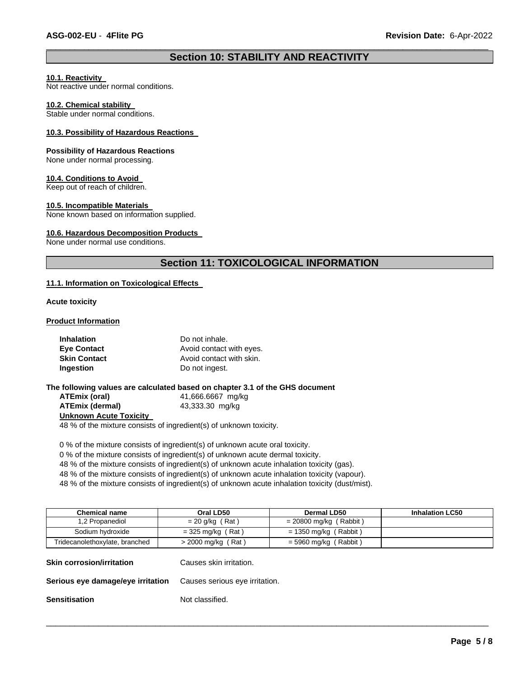# \_\_\_\_\_\_\_\_\_\_\_\_\_\_\_\_\_\_\_\_\_\_\_\_\_\_\_\_\_\_\_\_\_\_\_\_\_\_\_\_\_\_\_\_\_\_\_\_\_\_\_\_\_\_\_\_\_\_\_\_\_\_\_\_\_\_\_\_\_\_\_\_\_\_\_\_\_\_\_\_\_\_\_\_\_\_\_\_\_\_\_\_\_ **Section 10: STABILITY AND REACTIVITY**

#### **10.1. Reactivity**

Not reactive under normal conditions.

#### **10.2. Chemical stability**

Stable under normal conditions.

#### **10.3. Possibility of Hazardous Reactions**

#### **Possibility of Hazardous Reactions**

None under normal processing.

#### **10.4. Conditions to Avoid**

Keep out of reach of children.

#### **10.5. Incompatible Materials**

None known based on information supplied.

#### **10.6. Hazardous Decomposition Products**

None under normal use conditions.

# **Section 11: TOXICOLOGICAL INFORMATION**

#### **11.1. Information on Toxicological Effects**

**Acute toxicity** 

#### **Product Information**

| <b>Inhalation</b>   | Do not inhale.                                                |
|---------------------|---------------------------------------------------------------|
| <b>Eye Contact</b>  | Avoid contact with eyes.                                      |
| <b>Skin Contact</b> | Avoid contact with skin.                                      |
| Ingestion           | Do not ingest.                                                |
|                     |                                                               |
|                     | he following values are calculated based on chanter 3.1 of th |

**The following values are calculated based on chapter 3.1 of the GHS document ATEmix (oral)** 41,666.6667 mg/kg **ATEmix (dermal)** 43,333.30 mg/kg **Unknown Acute Toxicity** 

48 % of the mixture consists of ingredient(s) of unknown toxicity.

0 % of the mixture consists of ingredient(s) of unknown acute oral toxicity.

0 % of the mixture consists of ingredient(s) of unknown acute dermal toxicity.

48 % of the mixture consists of ingredient(s) of unknown acute inhalation toxicity (gas).

48 % of the mixture consists of ingredient(s) of unknown acute inhalation toxicity (vapour).

48 % of the mixture consists of ingredient(s) of unknown acute inhalation toxicity (dust/mist).

| <b>Chemical name</b>              | Oral LD50                      | <b>Dermal LD50</b>       | <b>Inhalation LC50</b> |
|-----------------------------------|--------------------------------|--------------------------|------------------------|
| 1,2 Propanediol                   | $= 20$ g/kg (Rat)              | $= 20800$ mg/kg (Rabbit) |                        |
| Sodium hydroxide                  | $=$ 325 mg/kg (Rat)            | $= 1350$ mg/kg (Rabbit)  |                        |
| Tridecanolethoxylate, branched    | $>$ 2000 mg/kg (Rat)           | $=$ 5960 mg/kg (Rabbit)  |                        |
| <b>Skin corrosion/irritation</b>  | Causes skin irritation.        |                          |                        |
| Serious eye damage/eye irritation | Causes serious eye irritation. |                          |                        |
| <b>Sensitisation</b>              | Not classified.                |                          |                        |

\_\_\_\_\_\_\_\_\_\_\_\_\_\_\_\_\_\_\_\_\_\_\_\_\_\_\_\_\_\_\_\_\_\_\_\_\_\_\_\_\_\_\_\_\_\_\_\_\_\_\_\_\_\_\_\_\_\_\_\_\_\_\_\_\_\_\_\_\_\_\_\_\_\_\_\_\_\_\_\_\_\_\_\_\_\_\_\_\_\_\_\_\_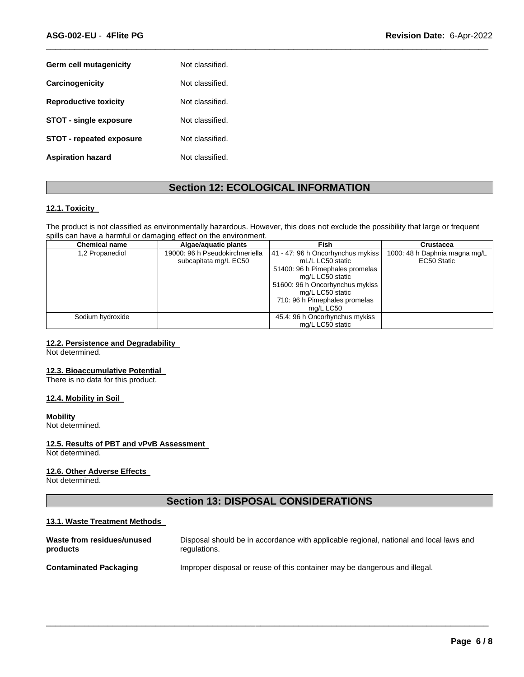| Germ cell mutagenicity          | Not classified. |
|---------------------------------|-----------------|
| Carcinogenicity                 | Not classified. |
| <b>Reproductive toxicity</b>    | Not classified. |
| <b>STOT - single exposure</b>   | Not classified. |
| <b>STOT - repeated exposure</b> | Not classified. |
| <b>Aspiration hazard</b>        | Not classified. |

# **Section 12: ECOLOGICAL INFORMATION**

\_\_\_\_\_\_\_\_\_\_\_\_\_\_\_\_\_\_\_\_\_\_\_\_\_\_\_\_\_\_\_\_\_\_\_\_\_\_\_\_\_\_\_\_\_\_\_\_\_\_\_\_\_\_\_\_\_\_\_\_\_\_\_\_\_\_\_\_\_\_\_\_\_\_\_\_\_\_\_\_\_\_\_\_\_\_\_\_\_\_\_\_\_

#### **12.1. Toxicity**

The product is not classified as environmentally hazardous. However, this does not exclude the possibility that large or frequent spills can have a harmful or damaging effect on the environment.

| <b>Chemical name</b> | Algae/aguatic plants            | Fish                              | Crustacea                     |
|----------------------|---------------------------------|-----------------------------------|-------------------------------|
| 1,2 Propanediol      | 19000: 96 h Pseudokirchneriella | 41 - 47: 96 h Oncorhynchus mykiss | 1000: 48 h Daphnia magna mg/L |
|                      | subcapitata mg/L EC50           | mL/L LC50 static                  | EC50 Static                   |
|                      |                                 | 51400: 96 h Pimephales promelas   |                               |
|                      |                                 | mg/L LC50 static                  |                               |
|                      |                                 | 51600: 96 h Oncorhynchus mykiss   |                               |
|                      |                                 | mg/L LC50 static                  |                               |
|                      |                                 | 710: 96 h Pimephales promelas     |                               |
|                      |                                 | mg/L LC50                         |                               |
| Sodium hydroxide     |                                 | 45.4: 96 h Oncorhynchus mykiss    |                               |
|                      |                                 | mg/L LC50 static                  |                               |

# **12.2. Persistence and Degradability**

Not determined.

#### **12.3. Bioaccumulative Potential**

There is no data for this product.

#### **12.4. Mobility in Soil**

#### **Mobility**

Not determined.

#### **12.5. Results of PBT and vPvB Assessment**

Not determined.

#### **12.6. Other Adverse Effects**

Not determined.

# **Section 13: DISPOSAL CONSIDERATIONS**

#### **13.1. Waste Treatment Methods**

| Waste from residues/unused    | Disposal should be in accordance with applicable regional, national and local laws and |
|-------------------------------|----------------------------------------------------------------------------------------|
| products                      | regulations.                                                                           |
| <b>Contaminated Packaging</b> | Improper disposal or reuse of this container may be dangerous and illegal.             |

\_\_\_\_\_\_\_\_\_\_\_\_\_\_\_\_\_\_\_\_\_\_\_\_\_\_\_\_\_\_\_\_\_\_\_\_\_\_\_\_\_\_\_\_\_\_\_\_\_\_\_\_\_\_\_\_\_\_\_\_\_\_\_\_\_\_\_\_\_\_\_\_\_\_\_\_\_\_\_\_\_\_\_\_\_\_\_\_\_\_\_\_\_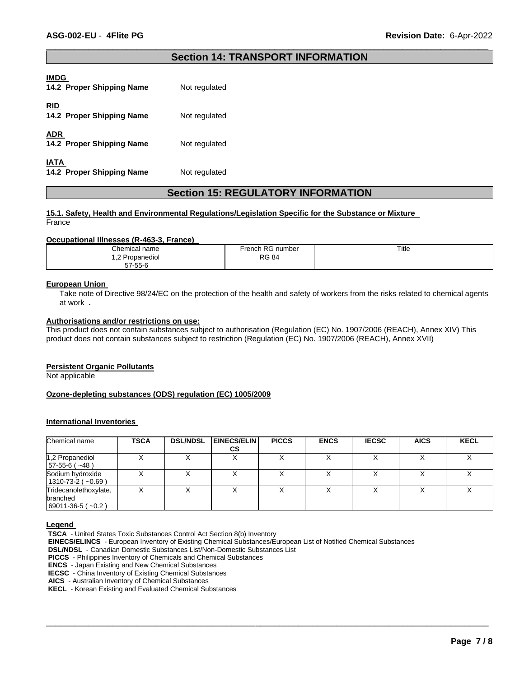## \_\_\_\_\_\_\_\_\_\_\_\_\_\_\_\_\_\_\_\_\_\_\_\_\_\_\_\_\_\_\_\_\_\_\_\_\_\_\_\_\_\_\_\_\_\_\_\_\_\_\_\_\_\_\_\_\_\_\_\_\_\_\_\_\_\_\_\_\_\_\_\_\_\_\_\_\_\_\_\_\_\_\_\_\_\_\_\_\_\_\_\_\_ **Section 14: TRANSPORT INFORMATION**

| <b>IMDG</b><br>14.2 Proper Shipping Name | Not regulated |
|------------------------------------------|---------------|
| <b>RID</b><br>14.2 Proper Shipping Name  | Not regulated |
| <b>ADR</b><br>14.2 Proper Shipping Name  | Not regulated |
| IATA<br>14.2 Proper Shipping Name        | Not regulated |

# **Section 15: REGULATORY INFORMATION**

#### **15.1. Safety, Health and Environmental Regulations/Legislation Specific for the Substance or Mixture**  France

#### **Occupational Illnesses (R-463-3, France)**

| Chemical name                 | French RG number | Title |
|-------------------------------|------------------|-------|
| 2 Propanediol<br>. . <u>.</u> | <b>RG 84</b>     |       |
| 57-55-6                       |                  |       |

#### **European Union**

Take note of Directive 98/24/EC on the protection of the health and safety of workers from the risks related to chemical agents at work **.** 

# **Authorisations and/or restrictions on use:**

This product does not contain substances subject to authorisation (Regulation (EC) No. 1907/2006 (REACH), Annex XIV) This product does not contain substances subject to restriction (Regulation (EC) No. 1907/2006 (REACH), Annex XVII)

#### **Persistent Organic Pollutants**

Not applicable

#### **Ozone-depleting substances (ODS) regulation (EC) 1005/2009**

#### **International Inventories**

| Chemical name                                             | <b>TSCA</b> | <b>DSL/NDSL</b> | <b>EINECS/ELIN</b><br>СS | <b>PICCS</b> | <b>ENCS</b> | <b>IECSC</b> | <b>AICS</b> | <b>KECL</b> |
|-----------------------------------------------------------|-------------|-----------------|--------------------------|--------------|-------------|--------------|-------------|-------------|
| 1,2 Propanediol<br>$57-55-6$ ( $\sim$ 48)                 |             |                 |                          |              |             |              |             |             |
| Sodium hydroxide<br>$1310 - 73 - 2(-0.69)$                |             |                 |                          |              |             |              |             |             |
| Tridecanolethoxylate,<br>branched<br>$ 69011-36-5(-0.2) $ |             |                 |                          |              |             |              |             |             |

\_\_\_\_\_\_\_\_\_\_\_\_\_\_\_\_\_\_\_\_\_\_\_\_\_\_\_\_\_\_\_\_\_\_\_\_\_\_\_\_\_\_\_\_\_\_\_\_\_\_\_\_\_\_\_\_\_\_\_\_\_\_\_\_\_\_\_\_\_\_\_\_\_\_\_\_\_\_\_\_\_\_\_\_\_\_\_\_\_\_\_\_\_

#### **Legend**

**TSCA** - United States Toxic Substances Control Act Section 8(b) Inventory

**EINECS/ELINCS** - European Inventory of Existing Chemical Substances/European List of Notified Chemical Substances

**DSL/NDSL** - Canadian Domestic Substances List/Non-Domestic Substances List

**PICCS** - Philippines Inventory of Chemicals and Chemical Substances

**ENCS** - Japan Existing and New Chemical Substances

**IECSC** - China Inventory of Existing Chemical Substances

**AICS** - Australian Inventory of Chemical Substances

**KECL** - Korean Existing and Evaluated Chemical Substances